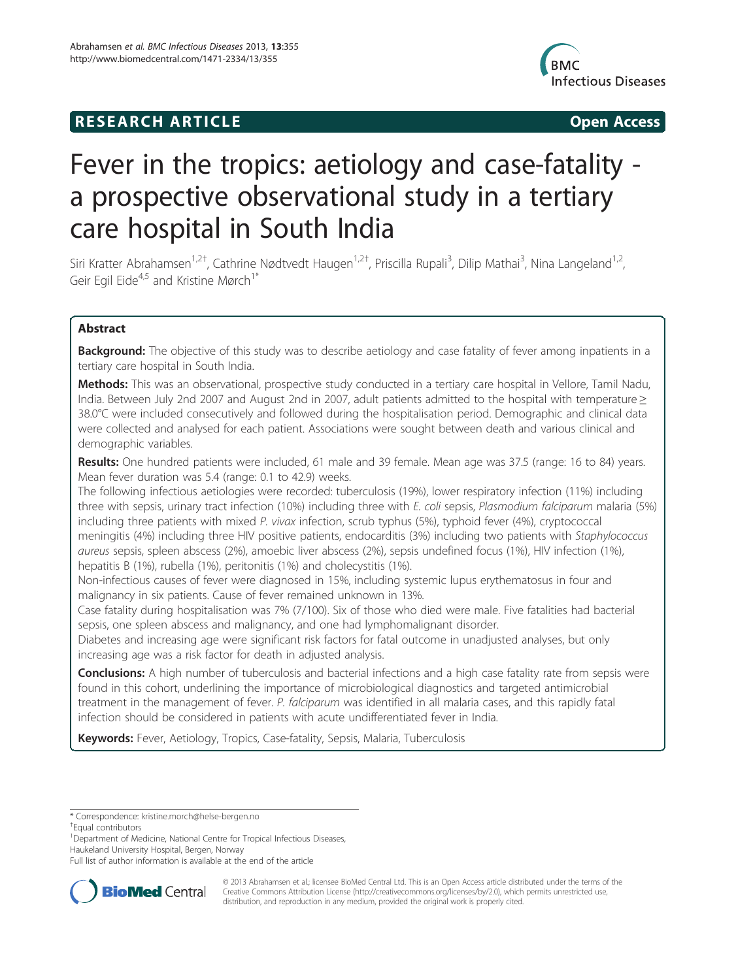## **RESEARCH ARTICLE Example 2014 Open Access**



# Fever in the tropics: aetiology and case-fatality a prospective observational study in a tertiary care hospital in South India

Siri Kratter Abrahamsen<sup>1,2†</sup>, Cathrine Nødtvedt Haugen<sup>1,2†</sup>, Priscilla Rupali<sup>3</sup>, Dilip Mathai<sup>3</sup>, Nina Langeland<sup>1,2</sup>, Geir Egil Eide<sup>4,5</sup> and Kristine Mørch<sup>1\*</sup>

## Abstract

**Background:** The objective of this study was to describe aetiology and case fatality of fever among inpatients in a tertiary care hospital in South India.

Methods: This was an observational, prospective study conducted in a tertiary care hospital in Vellore, Tamil Nadu, India. Between July 2nd 2007 and August 2nd in 2007, adult patients admitted to the hospital with temperature ≥ 38.0°C were included consecutively and followed during the hospitalisation period. Demographic and clinical data were collected and analysed for each patient. Associations were sought between death and various clinical and demographic variables.

Results: One hundred patients were included, 61 male and 39 female. Mean age was 37.5 (range: 16 to 84) years. Mean fever duration was 5.4 (range: 0.1 to 42.9) weeks.

The following infectious aetiologies were recorded: tuberculosis (19%), lower respiratory infection (11%) including three with sepsis, urinary tract infection (10%) including three with E. coli sepsis, Plasmodium falciparum malaria (5%) including three patients with mixed P. vivax infection, scrub typhus (5%), typhoid fever (4%), cryptococcal meningitis (4%) including three HIV positive patients, endocarditis (3%) including two patients with Staphylococcus aureus sepsis, spleen abscess (2%), amoebic liver abscess (2%), sepsis undefined focus (1%), HIV infection (1%), hepatitis B (1%), rubella (1%), peritonitis (1%) and cholecystitis (1%).

Non-infectious causes of fever were diagnosed in 15%, including systemic lupus erythematosus in four and malignancy in six patients. Cause of fever remained unknown in 13%.

Case fatality during hospitalisation was 7% (7/100). Six of those who died were male. Five fatalities had bacterial sepsis, one spleen abscess and malignancy, and one had lymphomalignant disorder.

Diabetes and increasing age were significant risk factors for fatal outcome in unadjusted analyses, but only increasing age was a risk factor for death in adjusted analysis.

Conclusions: A high number of tuberculosis and bacterial infections and a high case fatality rate from sepsis were found in this cohort, underlining the importance of microbiological diagnostics and targeted antimicrobial treatment in the management of fever. P. falciparum was identified in all malaria cases, and this rapidly fatal infection should be considered in patients with acute undifferentiated fever in India.

Keywords: Fever, Aetiology, Tropics, Case-fatality, Sepsis, Malaria, Tuberculosis

<sup>1</sup> Department of Medicine, National Centre for Tropical Infectious Diseases, Haukeland University Hospital, Bergen, Norway

Full list of author information is available at the end of the article



© 2013 Abrahamsen et al.; licensee BioMed Central Ltd. This is an Open Access article distributed under the terms of the Creative Commons Attribution License (<http://creativecommons.org/licenses/by/2.0>), which permits unrestricted use, distribution, and reproduction in any medium, provided the original work is properly cited.

<sup>\*</sup> Correspondence: [kristine.morch@helse-bergen.no](mailto:kristine.morch@helse-bergen.no) †

Equal contributors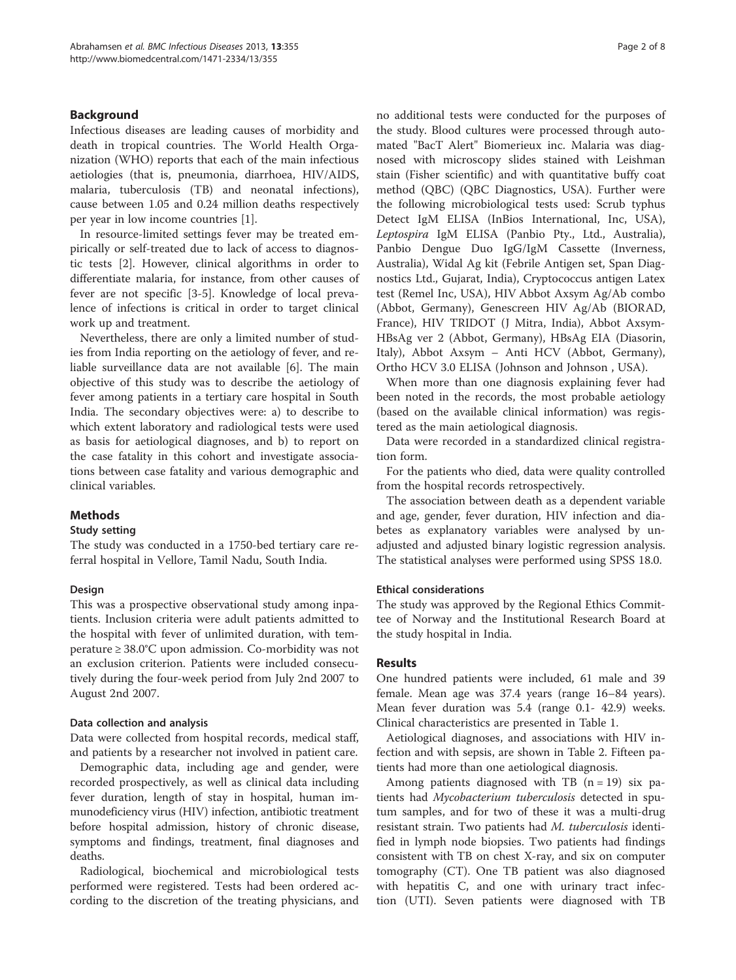## Background

Infectious diseases are leading causes of morbidity and death in tropical countries. The World Health Organization (WHO) reports that each of the main infectious aetiologies (that is, pneumonia, diarrhoea, HIV/AIDS, malaria, tuberculosis (TB) and neonatal infections), cause between 1.05 and 0.24 million deaths respectively per year in low income countries [\[1](#page-7-0)].

In resource-limited settings fever may be treated empirically or self-treated due to lack of access to diagnostic tests [\[2](#page-7-0)]. However, clinical algorithms in order to differentiate malaria, for instance, from other causes of fever are not specific [\[3-5](#page-7-0)]. Knowledge of local prevalence of infections is critical in order to target clinical work up and treatment.

Nevertheless, there are only a limited number of studies from India reporting on the aetiology of fever, and reliable surveillance data are not available [[6\]](#page-7-0). The main objective of this study was to describe the aetiology of fever among patients in a tertiary care hospital in South India. The secondary objectives were: a) to describe to which extent laboratory and radiological tests were used as basis for aetiological diagnoses, and b) to report on the case fatality in this cohort and investigate associations between case fatality and various demographic and clinical variables.

## Methods

### Study setting

The study was conducted in a 1750-bed tertiary care referral hospital in Vellore, Tamil Nadu, South India.

### Design

This was a prospective observational study among inpatients. Inclusion criteria were adult patients admitted to the hospital with fever of unlimited duration, with temperature ≥ 38.0°C upon admission. Co-morbidity was not an exclusion criterion. Patients were included consecutively during the four-week period from July 2nd 2007 to August 2nd 2007.

### Data collection and analysis

Data were collected from hospital records, medical staff, and patients by a researcher not involved in patient care.

Demographic data, including age and gender, were recorded prospectively, as well as clinical data including fever duration, length of stay in hospital, human immunodeficiency virus (HIV) infection, antibiotic treatment before hospital admission, history of chronic disease, symptoms and findings, treatment, final diagnoses and deaths.

Radiological, biochemical and microbiological tests performed were registered. Tests had been ordered according to the discretion of the treating physicians, and

no additional tests were conducted for the purposes of the study. Blood cultures were processed through automated "BacT Alert" Biomerieux inc. Malaria was diagnosed with microscopy slides stained with Leishman stain (Fisher scientific) and with quantitative buffy coat method (QBC) (QBC Diagnostics, USA). Further were the following microbiological tests used: Scrub typhus Detect IgM ELISA (InBios International, Inc, USA), Leptospira IgM ELISA (Panbio Pty., Ltd., Australia), Panbio Dengue Duo IgG/IgM Cassette (Inverness, Australia), Widal Ag kit (Febrile Antigen set, Span Diagnostics Ltd., Gujarat, India), Cryptococcus antigen Latex test (Remel Inc, USA), HIV Abbot Axsym Ag/Ab combo (Abbot, Germany), Genescreen HIV Ag/Ab (BIORAD, France), HIV TRIDOT (J Mitra, India), Abbot Axsym-HBsAg ver 2 (Abbot, Germany), HBsAg EIA (Diasorin, Italy), Abbot Axsym – Anti HCV (Abbot, Germany), Ortho HCV 3.0 ELISA (Johnson and Johnson , USA).

When more than one diagnosis explaining fever had been noted in the records, the most probable aetiology (based on the available clinical information) was registered as the main aetiological diagnosis.

Data were recorded in a standardized clinical registration form.

For the patients who died, data were quality controlled from the hospital records retrospectively.

The association between death as a dependent variable and age, gender, fever duration, HIV infection and diabetes as explanatory variables were analysed by unadjusted and adjusted binary logistic regression analysis. The statistical analyses were performed using SPSS 18.0.

### Ethical considerations

The study was approved by the Regional Ethics Committee of Norway and the Institutional Research Board at the study hospital in India.

### Results

One hundred patients were included, 61 male and 39 female. Mean age was 37.4 years (range 16–84 years). Mean fever duration was 5.4 (range 0.1- 42.9) weeks. Clinical characteristics are presented in Table [1.](#page-2-0)

Aetiological diagnoses, and associations with HIV infection and with sepsis, are shown in Table [2](#page-3-0). Fifteen patients had more than one aetiological diagnosis.

Among patients diagnosed with TB  $(n = 19)$  six patients had Mycobacterium tuberculosis detected in sputum samples, and for two of these it was a multi-drug resistant strain. Two patients had M. tuberculosis identified in lymph node biopsies. Two patients had findings consistent with TB on chest X-ray, and six on computer tomography (CT). One TB patient was also diagnosed with hepatitis C, and one with urinary tract infection (UTI). Seven patients were diagnosed with TB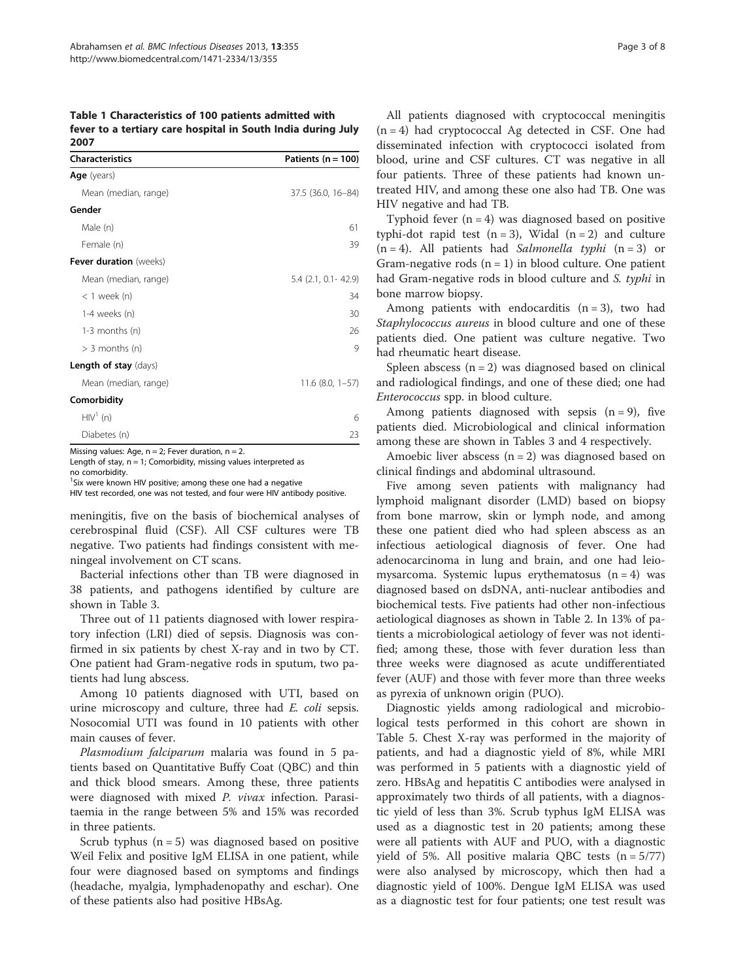<span id="page-2-0"></span>Table 1 Characteristics of 100 patients admitted with fever to a tertiary care hospital in South India during July 2007

| <b>Characteristics</b>        | Patients ( $n = 100$ ) |  |  |  |
|-------------------------------|------------------------|--|--|--|
| <b>Age</b> (years)            |                        |  |  |  |
| Mean (median, range)          | 37.5 (36.0, 16-84)     |  |  |  |
| Gender                        |                        |  |  |  |
| Male (n)                      | 61                     |  |  |  |
| Female (n)                    | 39                     |  |  |  |
| <b>Fever duration</b> (weeks) |                        |  |  |  |
| Mean (median, range)          | 5.4 (2.1, 0.1 - 42.9)  |  |  |  |
| $<$ 1 week (n)                | 34                     |  |  |  |
| 1-4 weeks (n)                 | 30                     |  |  |  |
| $1-3$ months $(n)$            | 26                     |  |  |  |
| $>$ 3 months (n)              | 9                      |  |  |  |
| <b>Length of stay</b> (days)  |                        |  |  |  |
| Mean (median, range)          | $11.6$ (8.0, $1-57$ )  |  |  |  |
| Comorbidity                   |                        |  |  |  |
| $HIV1$ (n)                    | 6                      |  |  |  |
| Diabetes (n)                  | 23                     |  |  |  |

Missing values: Age,  $n = 2$ ; Fever duration,  $n = 2$ .

Length of stay,  $n = 1$ ; Comorbidity, missing values interpreted as no comorbidity.

<sup>1</sup>Six were known HIV positive; among these one had a negative

HIV test recorded, one was not tested, and four were HIV antibody positive.

meningitis, five on the basis of biochemical analyses of cerebrospinal fluid (CSF). All CSF cultures were TB negative. Two patients had findings consistent with meningeal involvement on CT scans.

Bacterial infections other than TB were diagnosed in 38 patients, and pathogens identified by culture are shown in Table [3.](#page-4-0)

Three out of 11 patients diagnosed with lower respiratory infection (LRI) died of sepsis. Diagnosis was confirmed in six patients by chest X-ray and in two by CT. One patient had Gram-negative rods in sputum, two patients had lung abscess.

Among 10 patients diagnosed with UTI, based on urine microscopy and culture, three had *E. coli* sepsis. Nosocomial UTI was found in 10 patients with other main causes of fever.

Plasmodium falciparum malaria was found in 5 patients based on Quantitative Buffy Coat (QBC) and thin and thick blood smears. Among these, three patients were diagnosed with mixed P. vivax infection. Parasitaemia in the range between 5% and 15% was recorded in three patients.

Scrub typhus  $(n = 5)$  was diagnosed based on positive Weil Felix and positive IgM ELISA in one patient, while four were diagnosed based on symptoms and findings (headache, myalgia, lymphadenopathy and eschar). One of these patients also had positive HBsAg.

All patients diagnosed with cryptococcal meningitis  $(n = 4)$  had cryptococcal Ag detected in CSF. One had disseminated infection with cryptococci isolated from blood, urine and CSF cultures. CT was negative in all four patients. Three of these patients had known untreated HIV, and among these one also had TB. One was HIV negative and had TB.

Typhoid fever  $(n = 4)$  was diagnosed based on positive typhi-dot rapid test  $(n = 3)$ , Widal  $(n = 2)$  and culture  $(n = 4)$ . All patients had Salmonella typhi  $(n = 3)$  or Gram-negative rods  $(n = 1)$  in blood culture. One patient had Gram-negative rods in blood culture and S. typhi in bone marrow biopsy.

Among patients with endocarditis  $(n = 3)$ , two had Staphylococcus aureus in blood culture and one of these patients died. One patient was culture negative. Two had rheumatic heart disease.

Spleen abscess  $(n = 2)$  was diagnosed based on clinical and radiological findings, and one of these died; one had Enterococcus spp. in blood culture.

Among patients diagnosed with sepsis  $(n = 9)$ , five patients died. Microbiological and clinical information among these are shown in Tables [3](#page-4-0) and [4](#page-4-0) respectively.

Amoebic liver abscess  $(n = 2)$  was diagnosed based on clinical findings and abdominal ultrasound.

Five among seven patients with malignancy had lymphoid malignant disorder (LMD) based on biopsy from bone marrow, skin or lymph node, and among these one patient died who had spleen abscess as an infectious aetiological diagnosis of fever. One had adenocarcinoma in lung and brain, and one had leiomysarcoma. Systemic lupus erythematosus  $(n = 4)$  was diagnosed based on dsDNA, anti-nuclear antibodies and biochemical tests. Five patients had other non-infectious aetiological diagnoses as shown in Table [2.](#page-3-0) In 13% of patients a microbiological aetiology of fever was not identified; among these, those with fever duration less than three weeks were diagnosed as acute undifferentiated fever (AUF) and those with fever more than three weeks as pyrexia of unknown origin (PUO).

Diagnostic yields among radiological and microbiological tests performed in this cohort are shown in Table [5.](#page-5-0) Chest X-ray was performed in the majority of patients, and had a diagnostic yield of 8%, while MRI was performed in 5 patients with a diagnostic yield of zero. HBsAg and hepatitis C antibodies were analysed in approximately two thirds of all patients, with a diagnostic yield of less than 3%. Scrub typhus IgM ELISA was used as a diagnostic test in 20 patients; among these were all patients with AUF and PUO, with a diagnostic yield of 5%. All positive malaria QBC tests  $(n = 5/77)$ were also analysed by microscopy, which then had a diagnostic yield of 100%. Dengue IgM ELISA was used as a diagnostic test for four patients; one test result was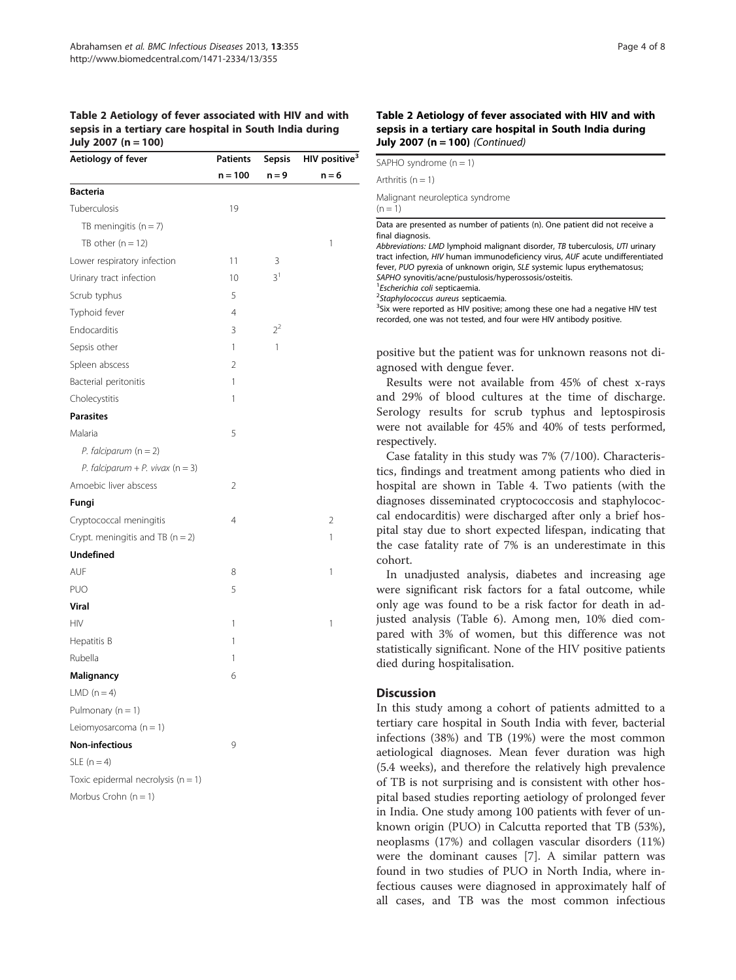## <span id="page-3-0"></span>Table 2 Aetiology of fever associated with HIV and with sepsis in a tertiary care hospital in South India during July 2007 (n = 100)

| Aetiology of fever                   | <b>Patients</b> | <b>Sepsis</b>  | HIV positive <sup>3</sup> |
|--------------------------------------|-----------------|----------------|---------------------------|
|                                      | $n = 100$       | $n = 9$        | $n = 6$                   |
| <b>Bacteria</b>                      |                 |                |                           |
| Tuberculosis                         | 19              |                |                           |
| TB meningitis $(n = 7)$              |                 |                |                           |
| TB other $(n = 12)$                  |                 |                | 1                         |
| Lower respiratory infection          | 11              | 3              |                           |
| Urinary tract infection              | 10              | 3 <sup>1</sup> |                           |
| Scrub typhus                         | 5               |                |                           |
| Typhoid fever                        | 4               |                |                           |
| Endocarditis                         | 3               | $2^2$          |                           |
| Sepsis other                         | 1               | 1              |                           |
| Spleen abscess                       | 2               |                |                           |
| Bacterial peritonitis                | 1               |                |                           |
| Cholecystitis                        | 1               |                |                           |
| <b>Parasites</b>                     |                 |                |                           |
| Malaria                              | 5               |                |                           |
| P. falciparum $(n = 2)$              |                 |                |                           |
| P. falciparum + P. vivax $(n = 3)$   |                 |                |                           |
| Amoebic liver abscess                | 2               |                |                           |
| Fungi                                |                 |                |                           |
| Cryptococcal meningitis              | 4               |                | 2                         |
| Crypt. meningitis and TB $(n = 2)$   |                 |                | 1                         |
| <b>Undefined</b>                     |                 |                |                           |
| AUF                                  | 8               |                | 1                         |
| <b>PUO</b>                           | 5               |                |                           |
| Viral                                |                 |                |                           |
| <b>HIV</b>                           | 1               |                | 1                         |
| Hepatitis B                          | 1               |                |                           |
| Rubella                              | 1               |                |                           |
| Malignancy                           | 6               |                |                           |
| LMD $(n=4)$                          |                 |                |                           |
| Pulmonary $(n = 1)$                  |                 |                |                           |
| Leiomyosarcoma $(n = 1)$             |                 |                |                           |
| <b>Non-infectious</b>                | 9               |                |                           |
| $SLE(n=4)$                           |                 |                |                           |
| Toxic epidermal necrolysis $(n = 1)$ |                 |                |                           |
| Morbus Crohn $(n = 1)$               |                 |                |                           |

#### Table 2 Aetiology of fever associated with HIV and with sepsis in a tertiary care hospital in South India during July 2007 ( $n = 100$ ) (Continued)

| SAPHO syndrome $(n = 1)$                                                                                                                                                                                                                                                                                                                                                                                                                                                                                                                                                                                                                                                |
|-------------------------------------------------------------------------------------------------------------------------------------------------------------------------------------------------------------------------------------------------------------------------------------------------------------------------------------------------------------------------------------------------------------------------------------------------------------------------------------------------------------------------------------------------------------------------------------------------------------------------------------------------------------------------|
| Arthritis $(n = 1)$                                                                                                                                                                                                                                                                                                                                                                                                                                                                                                                                                                                                                                                     |
| Malignant neuroleptica syndrome<br>$(n = 1)$                                                                                                                                                                                                                                                                                                                                                                                                                                                                                                                                                                                                                            |
| Data are presented as number of patients (n). One patient did not receive a<br>final diagnosis.<br>Abbreviations: LMD lymphoid malignant disorder, TB tuberculosis, UTI urinary<br>tract infection, HIV human immunodeficiency virus, AUF acute undifferentiated<br>fever, PUO pyrexia of unknown origin, SLE systemic lupus erythematosus;<br>SAPHO synovitis/acne/pustulosis/hyperossosis/osteitis.<br><sup>1</sup> Escherichia coli septicaemia.<br><sup>2</sup> Staphylococcus aureus septicaemia.<br><sup>3</sup> Six were reported as HIV positive; among these one had a negative HIV test<br>recorded, one was not tested, and four were HIV antibody positive. |

positive but the patient was for unknown reasons not diagnosed with dengue fever.

Results were not available from 45% of chest x-rays and 29% of blood cultures at the time of discharge. Serology results for scrub typhus and leptospirosis were not available for 45% and 40% of tests performed, respectively.

Case fatality in this study was 7% (7/100). Characteristics, findings and treatment among patients who died in hospital are shown in Table [4.](#page-4-0) Two patients (with the diagnoses disseminated cryptococcosis and staphylococcal endocarditis) were discharged after only a brief hospital stay due to short expected lifespan, indicating that the case fatality rate of 7% is an underestimate in this cohort.

In unadjusted analysis, diabetes and increasing age were significant risk factors for a fatal outcome, while only age was found to be a risk factor for death in adjusted analysis (Table [6](#page-6-0)). Among men, 10% died compared with 3% of women, but this difference was not statistically significant. None of the HIV positive patients died during hospitalisation.

## **Discussion**

In this study among a cohort of patients admitted to a tertiary care hospital in South India with fever, bacterial infections (38%) and TB (19%) were the most common aetiological diagnoses. Mean fever duration was high (5.4 weeks), and therefore the relatively high prevalence of TB is not surprising and is consistent with other hospital based studies reporting aetiology of prolonged fever in India. One study among 100 patients with fever of unknown origin (PUO) in Calcutta reported that TB (53%), neoplasms (17%) and collagen vascular disorders (11%) were the dominant causes [\[7](#page-7-0)]. A similar pattern was found in two studies of PUO in North India, where infectious causes were diagnosed in approximately half of all cases, and TB was the most common infectious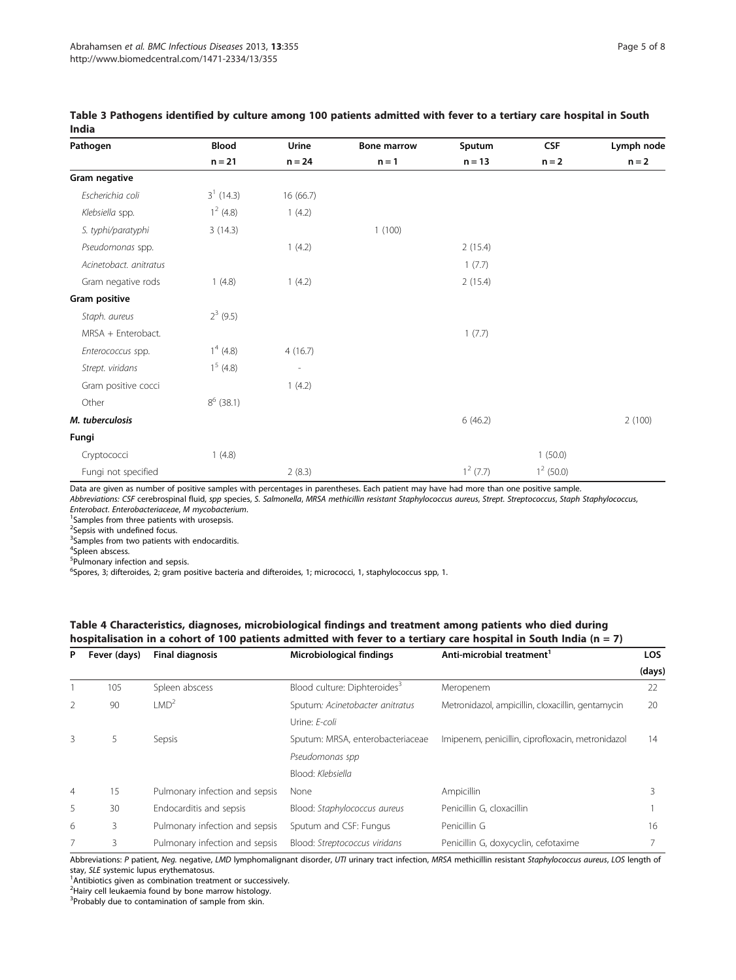| Pathogen               | <b>Blood</b> | Urine                    | <b>Bone marrow</b> | Sputum      | <b>CSF</b>   | Lymph node |
|------------------------|--------------|--------------------------|--------------------|-------------|--------------|------------|
|                        | $n = 21$     | $n = 24$                 | $n = 1$            | $n = 13$    | $n = 2$      | $n = 2$    |
| Gram negative          |              |                          |                    |             |              |            |
| Escherichia coli       | $3^1$ (14.3) | 16 (66.7)                |                    |             |              |            |
| Klebsiella spp.        | $1^2$ (4.8)  | 1(4.2)                   |                    |             |              |            |
| S. typhi/paratyphi     | 3(14.3)      |                          | 1(100)             |             |              |            |
| Pseudomonas spp.       |              | 1(4.2)                   |                    | 2(15.4)     |              |            |
| Acinetobact. anitratus |              |                          |                    | 1(7.7)      |              |            |
| Gram negative rods     | 1(4.8)       | 1(4.2)                   |                    | 2(15.4)     |              |            |
| Gram positive          |              |                          |                    |             |              |            |
| Staph. aureus          | $2^3$ (9.5)  |                          |                    |             |              |            |
| MRSA + Enterobact.     |              |                          |                    | 1(7.7)      |              |            |
| Enterococcus spp.      | $1^4$ (4.8)  | 4(16.7)                  |                    |             |              |            |
| Strept. viridans       | $1^5$ (4.8)  | $\overline{\phantom{a}}$ |                    |             |              |            |
| Gram positive cocci    |              | 1(4.2)                   |                    |             |              |            |
| Other                  | $8^6$ (38.1) |                          |                    |             |              |            |
| M. tuberculosis        |              |                          |                    | 6(46.2)     |              | 2(100)     |
| Fungi                  |              |                          |                    |             |              |            |
| Cryptococci            | 1(4.8)       |                          |                    |             | 1(50.0)      |            |
| Fungi not specified    |              | 2(8.3)                   |                    | $1^2$ (7.7) | $1^2$ (50.0) |            |

#### <span id="page-4-0"></span>Table 3 Pathogens identified by culture among 100 patients admitted with fever to a tertiary care hospital in South India

Data are given as number of positive samples with percentages in parentheses. Each patient may have had more than one positive sample.

Abbreviations: CSF cerebrospinal fluid, spp species, S. Salmonella, MRSA methicillin resistant Staphylococcus aureus, Strept. Streptococcus, Staph Staphylococcus, Enterobact. Enterobacteriaceae, M mycobacterium. <sup>1</sup>

<sup>1</sup>Samples from three patients with urosepsis.

<sup>2</sup>Sepsis with undefined focus.

<sup>3</sup> Samples from two patients with endocarditis.

4 Spleen abscess.

<sup>5</sup>Pulmonary infection and sepsis.

<sup>6</sup>Spores, 3; difteroides, 2; gram positive bacteria and difteroides, 1; micrococci, 1, staphylococcus spp, 1.

## Table 4 Characteristics, diagnoses, microbiological findings and treatment among patients who died during hospitalisation in a cohort of 100 patients admitted with fever to a tertiary care hospital in South India (n = 7)

| Fever (days)<br>P |     | <b>Final diagnosis</b>         | Microbiological findings                 | Anti-microbial treatment <sup>1</sup>             |        |  |
|-------------------|-----|--------------------------------|------------------------------------------|---------------------------------------------------|--------|--|
|                   |     |                                |                                          |                                                   | (days) |  |
|                   | 105 | Spleen abscess                 | Blood culture: Diphteroides <sup>3</sup> | Meropenem                                         | 22     |  |
| $\overline{2}$    | 90  | $1 \text{MD}^2$                | Sputum: Acinetobacter anitratus          | Metronidazol, ampicillin, cloxacillin, gentamycin | 20     |  |
|                   |     |                                | Urine: E-coli                            |                                                   |        |  |
| 3                 | 5.  | Sepsis                         | Sputum: MRSA, enterobacteriaceae         | Imipenem, penicillin, ciprofloxacin, metronidazol | 14     |  |
|                   |     |                                | Pseudomonas spp                          |                                                   |        |  |
|                   |     |                                | Blood: Klebsiella                        |                                                   |        |  |
| $\overline{4}$    | 15  | Pulmonary infection and sepsis | None                                     | Ampicillin                                        |        |  |
| 5                 | 30  | Endocarditis and sepsis        | Blood: Staphylococcus aureus             | Penicillin G, cloxacillin                         |        |  |
| 6                 | 3.  | Pulmonary infection and sepsis | Sputum and CSF: Fungus                   | Penicillin G                                      | 16     |  |
|                   | 3.  | Pulmonary infection and sepsis | Blood: Streptococcus viridans            | Penicillin G, doxycyclin, cefotaxime              |        |  |

Abbreviations: P patient, Neg. negative, LMD lymphomalignant disorder, UTI urinary tract infection, MRSA methicillin resistant Staphylococcus aureus, LOS length of stay, SLE systemic lupus erythematosus.

<sup>1</sup> Antibiotics given as combination treatment or successively.

<sup>2</sup> Hairy cell leukaemia found by bone marrow histology.

<sup>3</sup>Probably due to contamination of sample from skin.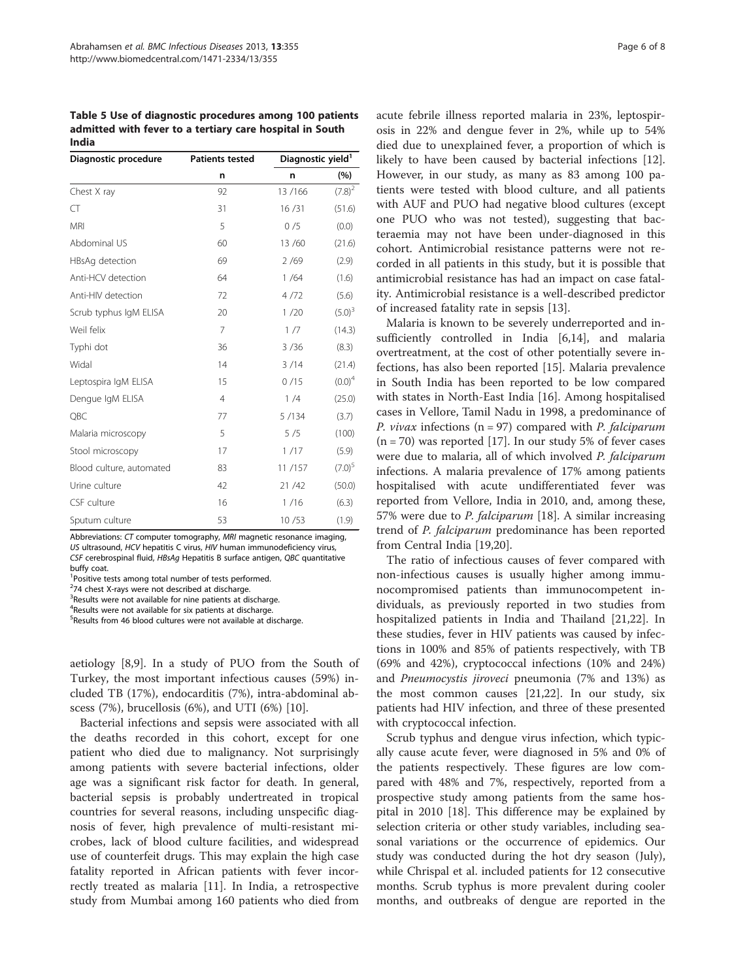<span id="page-5-0"></span>Table 5 Use of diagnostic procedures among 100 patients admitted with fever to a tertiary care hospital in South India

| Diagnostic procedure     | <b>Patients tested</b> |         | Diagnostic yield <sup>1</sup> |  |  |
|--------------------------|------------------------|---------|-------------------------------|--|--|
|                          | n                      | n       | (%)                           |  |  |
| Chest X ray              | 92                     | 13/166  | $(7.8)^2$                     |  |  |
| CT                       | 31                     | 16/31   | (51.6)                        |  |  |
| <b>MRI</b>               | 5                      | 0/5     | (0.0)                         |  |  |
| Abdominal US             | 60                     | 13/60   | (21.6)                        |  |  |
| HBsAg detection          | 69                     | 2/69    | (2.9)                         |  |  |
| Anti-HCV detection       | 64                     | 1/64    | (1.6)                         |  |  |
| Anti-HIV detection       | 72                     | 4/72    | (5.6)                         |  |  |
| Scrub typhus IgM ELISA   | 20                     | 1/20    | $(5.0)^3$                     |  |  |
| Weil felix               | $\overline{7}$         | 1/7     | (14.3)                        |  |  |
| Typhi dot                | 36                     | 3/36    | (8.3)                         |  |  |
| Widal                    | 14                     | 3/14    | (21.4)                        |  |  |
| Leptospira IgM ELISA     | 15                     | 0/15    | $(0.0)^4$                     |  |  |
| Dengue IgM ELISA         | $\overline{4}$         | 1/4     | (25.0)                        |  |  |
| QBC                      | 77                     | 5 / 134 | (3.7)                         |  |  |
| Malaria microscopy       | 5                      | 5/5     | (100)                         |  |  |
| Stool microscopy         | 17                     | 1/17    | (5.9)                         |  |  |
| Blood culture, automated | 83                     | 11/157  | $(7.0)^5$                     |  |  |
| Urine culture            | 42                     | 21/42   | (50.0)                        |  |  |
| CSF culture              | 16                     | 1/16    | (6.3)                         |  |  |
| Sputum culture           | 53                     | 10/53   | (1.9)                         |  |  |

Abbreviations: CT computer tomography, MRI magnetic resonance imaging, US ultrasound, HCV hepatitis C virus, HIV human immunodeficiency virus, CSF cerebrospinal fluid, HBsAg Hepatitis B surface antigen, QBC quantitative buffy coat.

<sup>1</sup> Positive tests among total number of tests performed.

<sup>2</sup>74 chest X-rays were not described at discharge.

<sup>3</sup>Results were not available for nine patients at discharge.

4 Results were not available for six patients at discharge.

5 Results from 46 blood cultures were not available at discharge.

aetiology [\[8,9](#page-7-0)]. In a study of PUO from the South of Turkey, the most important infectious causes (59%) included TB (17%), endocarditis (7%), intra-abdominal abscess (7%), brucellosis (6%), and UTI (6%) [[10](#page-7-0)].

Bacterial infections and sepsis were associated with all the deaths recorded in this cohort, except for one patient who died due to malignancy. Not surprisingly among patients with severe bacterial infections, older age was a significant risk factor for death. In general, bacterial sepsis is probably undertreated in tropical countries for several reasons, including unspecific diagnosis of fever, high prevalence of multi-resistant microbes, lack of blood culture facilities, and widespread use of counterfeit drugs. This may explain the high case fatality reported in African patients with fever incorrectly treated as malaria [[11\]](#page-7-0). In India, a retrospective study from Mumbai among 160 patients who died from

acute febrile illness reported malaria in 23%, leptospirosis in 22% and dengue fever in 2%, while up to 54% died due to unexplained fever, a proportion of which is likely to have been caused by bacterial infections [\[12](#page-7-0)]. However, in our study, as many as 83 among 100 patients were tested with blood culture, and all patients with AUF and PUO had negative blood cultures (except one PUO who was not tested), suggesting that bacteraemia may not have been under-diagnosed in this cohort. Antimicrobial resistance patterns were not recorded in all patients in this study, but it is possible that antimicrobial resistance has had an impact on case fatality. Antimicrobial resistance is a well-described predictor of increased fatality rate in sepsis [[13](#page-7-0)].

Malaria is known to be severely underreported and insufficiently controlled in India [[6,14\]](#page-7-0), and malaria overtreatment, at the cost of other potentially severe infections, has also been reported [\[15](#page-7-0)]. Malaria prevalence in South India has been reported to be low compared with states in North-East India [[16](#page-7-0)]. Among hospitalised cases in Vellore, Tamil Nadu in 1998, a predominance of P. vivax infections ( $n = 97$ ) compared with P. falciparum  $(n = 70)$  was reported [[17\]](#page-7-0). In our study 5% of fever cases were due to malaria, all of which involved P. falciparum infections. A malaria prevalence of 17% among patients hospitalised with acute undifferentiated fever was reported from Vellore, India in 2010, and, among these, 57% were due to P. falciparum [[18\]](#page-7-0). A similar increasing trend of P. falciparum predominance has been reported from Central India [[19](#page-7-0),[20](#page-7-0)].

The ratio of infectious causes of fever compared with non-infectious causes is usually higher among immunocompromised patients than immunocompetent individuals, as previously reported in two studies from hospitalized patients in India and Thailand [[21,22\]](#page-7-0). In these studies, fever in HIV patients was caused by infections in 100% and 85% of patients respectively, with TB (69% and 42%), cryptococcal infections (10% and 24%) and Pneumocystis jiroveci pneumonia (7% and 13%) as the most common causes [\[21,22](#page-7-0)]. In our study, six patients had HIV infection, and three of these presented with cryptococcal infection.

Scrub typhus and dengue virus infection, which typically cause acute fever, were diagnosed in 5% and 0% of the patients respectively. These figures are low compared with 48% and 7%, respectively, reported from a prospective study among patients from the same hospital in 2010 [[18](#page-7-0)]. This difference may be explained by selection criteria or other study variables, including seasonal variations or the occurrence of epidemics. Our study was conducted during the hot dry season (July), while Chrispal et al. included patients for 12 consecutive months. Scrub typhus is more prevalent during cooler months, and outbreaks of dengue are reported in the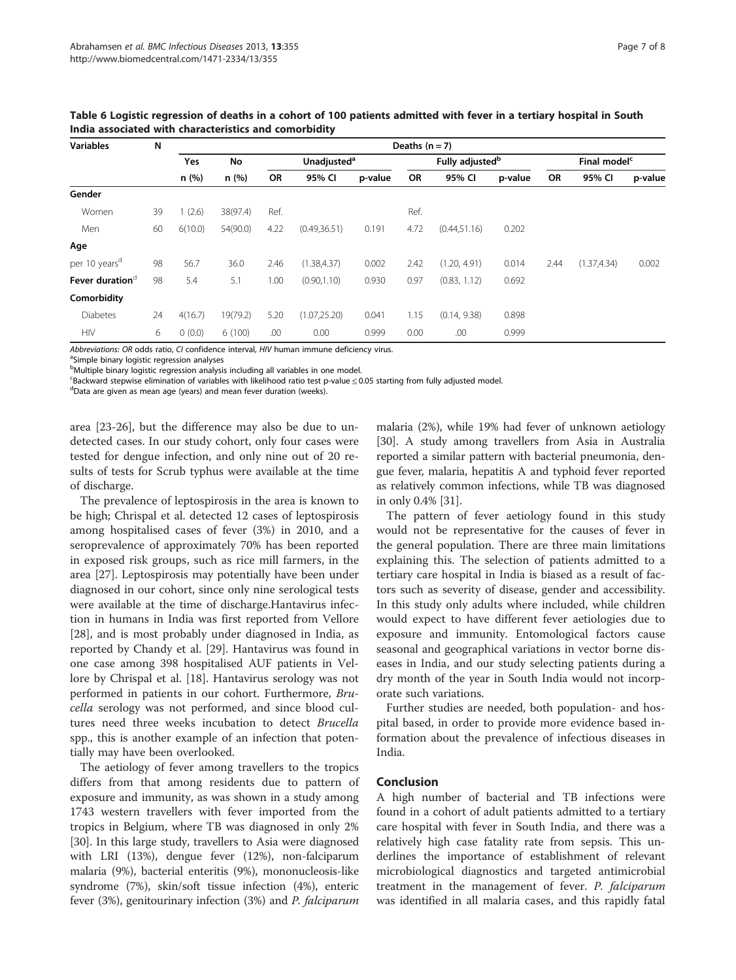| <b>Variables</b>            | N  | Deaths $(n = 7)$ |          |                               |               |                             |         |               |                          |         |              |        |
|-----------------------------|----|------------------|----------|-------------------------------|---------------|-----------------------------|---------|---------------|--------------------------|---------|--------------|--------|
|                             |    | Yes              | No       | <b>Unadjusted<sup>a</sup></b> |               | Fully adjusted <sup>b</sup> |         |               | Final model <sup>c</sup> |         |              |        |
|                             |    |                  | n (%)    | n (%)                         | OR            | 95% CI                      | p-value | <b>OR</b>     | 95% CI                   | p-value | OR           | 95% CI |
| Gender                      |    |                  |          |                               |               |                             |         |               |                          |         |              |        |
| Women                       | 39 | (2.6)            | 38(97.4) | Ref.                          |               |                             | Ref.    |               |                          |         |              |        |
| Men                         | 60 | 6(10.0)          | 54(90.0) | 4.22                          | (0.49, 36.51) | 0.191                       | 4.72    | (0.44, 51.16) | 0.202                    |         |              |        |
| Age                         |    |                  |          |                               |               |                             |         |               |                          |         |              |        |
| per 10 years <sup>d</sup>   | 98 | 56.7             | 36.0     | 2.46                          | (1.38, 4.37)  | 0.002                       | 2.42    | (1.20, 4.91)  | 0.014                    | 2.44    | (1.37, 4.34) | 0.002  |
| Fever duration <sup>d</sup> | 98 | 5.4              | 5.1      | 1.00                          | (0.90, 1.10)  | 0.930                       | 0.97    | (0.83, 1.12)  | 0.692                    |         |              |        |
| Comorbidity                 |    |                  |          |                               |               |                             |         |               |                          |         |              |        |
| <b>Diabetes</b>             | 24 | 4(16.7)          | 19(79.2) | 5.20                          | (1.07, 25.20) | 0.041                       | 1.15    | (0.14, 9.38)  | 0.898                    |         |              |        |
| <b>HIV</b>                  | 6  | 0(0.0)           | 6(100)   | .00                           | 0.00          | 0.999                       | 0.00    | .00           | 0.999                    |         |              |        |

<span id="page-6-0"></span>Table 6 Logistic regression of deaths in a cohort of 100 patients admitted with fever in a tertiary hospital in South India associated with characteristics and comorbidity

Abbreviations: OR odds ratio, CI confidence interval, HIV human immune deficiency virus.

<sup>a</sup>Simple binary logistic regression analyses

<sup>b</sup>Multiple binary logistic regression analysis including all variables in one model.

<sup>c</sup>Backward stepwise elimination of variables with likelihood ratio test p-value ≤ 0.05 starting from fully adjusted model.<br><sup>d</sup>Data are given as mean age (vears) and mean fever duration (weeks).

<sup>d</sup>Data are given as mean age (years) and mean fever duration (weeks).

area [[23](#page-7-0)-[26\]](#page-7-0), but the difference may also be due to undetected cases. In our study cohort, only four cases were tested for dengue infection, and only nine out of 20 results of tests for Scrub typhus were available at the time of discharge.

The prevalence of leptospirosis in the area is known to be high; Chrispal et al. detected 12 cases of leptospirosis among hospitalised cases of fever (3%) in 2010, and a seroprevalence of approximately 70% has been reported in exposed risk groups, such as rice mill farmers, in the area [\[27\]](#page-7-0). Leptospirosis may potentially have been under diagnosed in our cohort, since only nine serological tests were available at the time of discharge.Hantavirus infection in humans in India was first reported from Vellore [[28\]](#page-7-0), and is most probably under diagnosed in India, as reported by Chandy et al. [[29\]](#page-7-0). Hantavirus was found in one case among 398 hospitalised AUF patients in Vellore by Chrispal et al. [[18\]](#page-7-0). Hantavirus serology was not performed in patients in our cohort. Furthermore, Brucella serology was not performed, and since blood cultures need three weeks incubation to detect Brucella spp., this is another example of an infection that potentially may have been overlooked.

The aetiology of fever among travellers to the tropics differs from that among residents due to pattern of exposure and immunity, as was shown in a study among 1743 western travellers with fever imported from the tropics in Belgium, where TB was diagnosed in only 2% [[30](#page-7-0)]. In this large study, travellers to Asia were diagnosed with LRI (13%), dengue fever (12%), non-falciparum malaria (9%), bacterial enteritis (9%), mononucleosis-like syndrome (7%), skin/soft tissue infection (4%), enteric fever (3%), genitourinary infection (3%) and P. falciparum

malaria (2%), while 19% had fever of unknown aetiology [[30](#page-7-0)]. A study among travellers from Asia in Australia reported a similar pattern with bacterial pneumonia, dengue fever, malaria, hepatitis A and typhoid fever reported as relatively common infections, while TB was diagnosed in only 0.4% [\[31\]](#page-7-0).

The pattern of fever aetiology found in this study would not be representative for the causes of fever in the general population. There are three main limitations explaining this. The selection of patients admitted to a tertiary care hospital in India is biased as a result of factors such as severity of disease, gender and accessibility. In this study only adults where included, while children would expect to have different fever aetiologies due to exposure and immunity. Entomological factors cause seasonal and geographical variations in vector borne diseases in India, and our study selecting patients during a dry month of the year in South India would not incorporate such variations.

Further studies are needed, both population- and hospital based, in order to provide more evidence based information about the prevalence of infectious diseases in India.

#### Conclusion

A high number of bacterial and TB infections were found in a cohort of adult patients admitted to a tertiary care hospital with fever in South India, and there was a relatively high case fatality rate from sepsis. This underlines the importance of establishment of relevant microbiological diagnostics and targeted antimicrobial treatment in the management of fever. P. falciparum was identified in all malaria cases, and this rapidly fatal